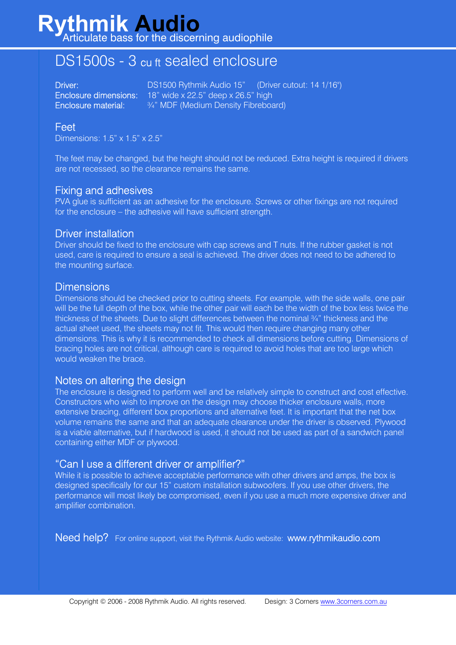## **Rythmik Audio** Articulate bass for the discerning audiophile

# DS1500s - 3 cu ft sealed enclosure

Driver: <u>DS1500 Rythmik Audio 15"</u> (Driver cutout: 14 1/16") Enclosure dimensions: 18" wide x 22.5" deep x 26.5" high Enclosure material: ¾" MDF (Medium Density Fibreboard)

## Feet

Dimensions: 1.5" x 1.5" x 2.5"

The feet may be changed, but the height should not be reduced. Extra height is required if drivers are not recessed, so the clearance remains the same.

#### Fixing and adhesives

PVA glue is sufficient as an adhesive for the enclosure. Screws or other fixings are not required for the enclosure – the adhesive will have sufficient strength.

#### Driver installation

Driver should be fixed to the enclosure with cap screws and T nuts. If the rubber gasket is not used, care is required to ensure a seal is achieved. The driver does not need to be adhered to the mounting surface.

#### **Dimensions**

Dimensions should be checked prior to cutting sheets. For example, with the side walls, one pair will be the full depth of the box, while the other pair will each be the width of the box less twice the thickness of the sheets. Due to slight differences between the nominal ¾" thickness and the actual sheet used, the sheets may not fit. This would then require changing many other dimensions. This is why it is recommended to check all dimensions before cutting. Dimensions of bracing holes are not critical, although care is required to avoid holes that are too large which would weaken the brace.

### Notes on altering the design

The enclosure is designed to perform well and be relatively simple to construct and cost effective. Constructors who wish to improve on the design may choose thicker enclosure walls, more extensive bracing, different box proportions and alternative feet. It is important that the net box volume remains the same and that an adequate clearance under the driver is observed. Plywood is a viable alternative, but if hardwood is used, it should not be used as part of a sandwich panel containing either MDF or plywood.

### "Can I use a different driver or amplifier?"

While it is possible to achieve acceptable performance with other drivers and amps, the box is designed specifically for our 15" custom installation subwoofers. If you use other drivers, the performance will most likely be compromised, even if you use a much more expensive driver and amplifier combination.

Need help? For online support, visit the Rythmik Audio website: www.rythmikaudio.com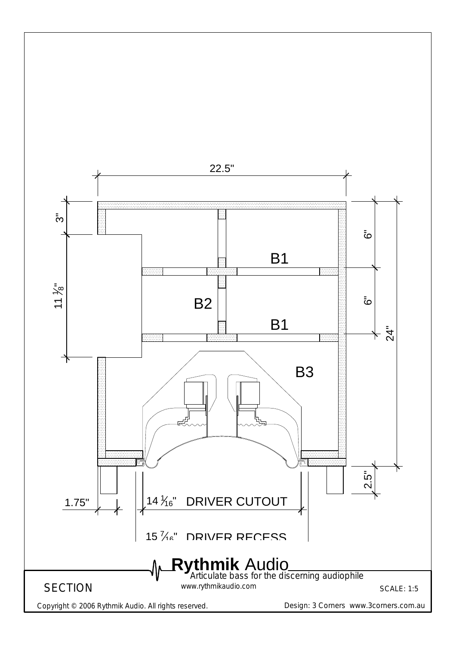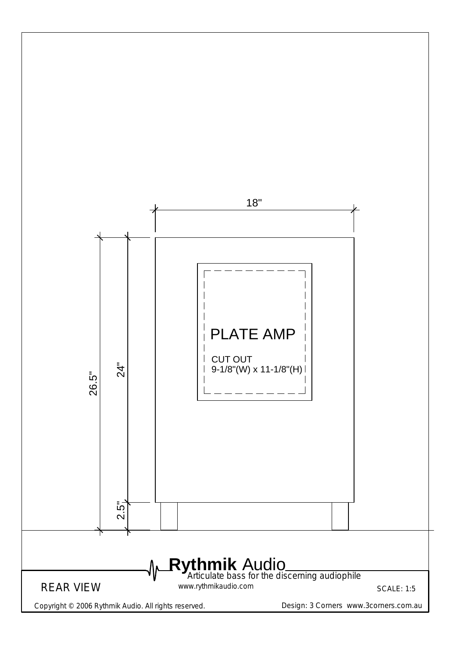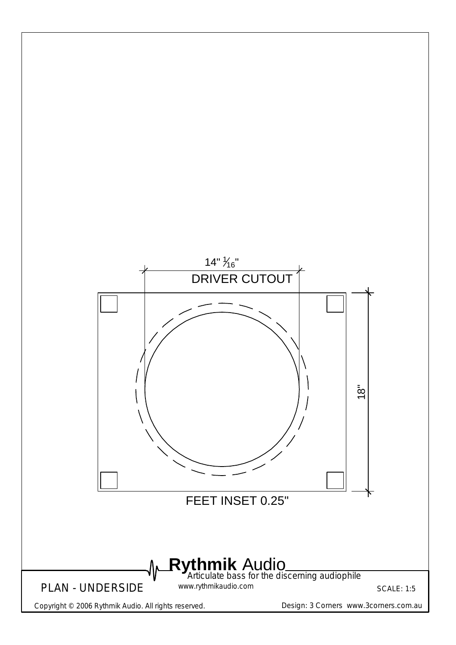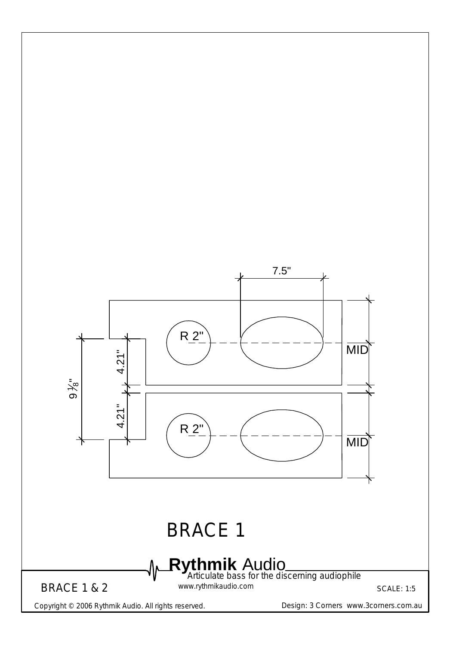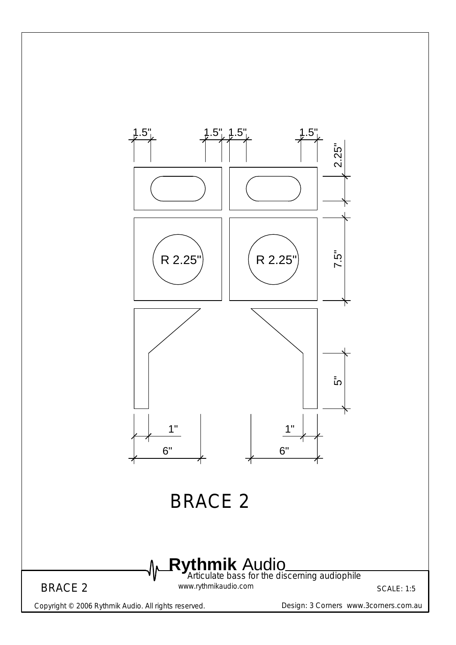